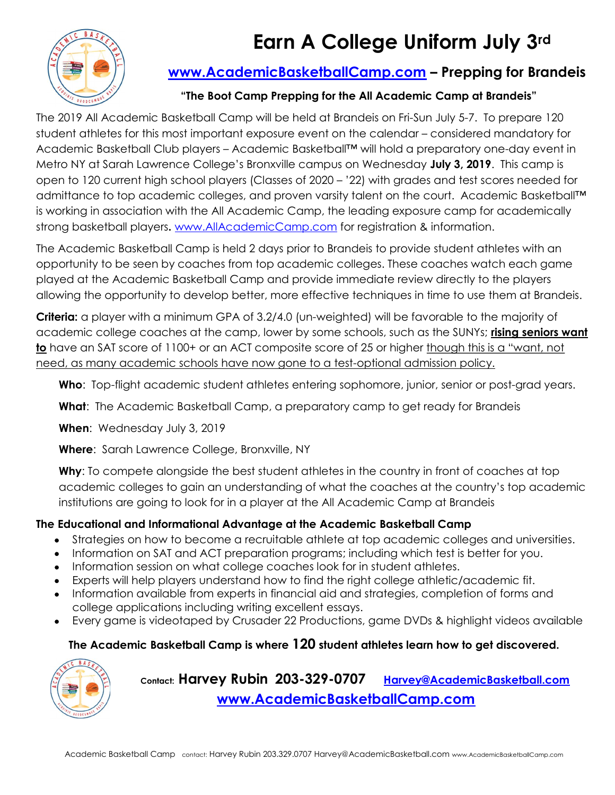# Earn A College Uniform July 3rd



## www.AcademicBasketballCamp.com – Prepping for Brandeis

### "The Boot Camp Prepping for the All Academic Camp at Brandeis"

The 2019 All Academic Basketball Camp will be held at Brandeis on Fri-Sun July 5-7. To prepare 120 student athletes for this most important exposure event on the calendar – considered mandatory for Academic Basketball Club players – Academic Basketball™ will hold a preparatory one-day event in Metro NY at Sarah Lawrence College's Bronxville campus on Wednesday July 3, 2019. This camp is open to 120 current high school players (Classes of 2020 – '22) with grades and test scores needed for admittance to top academic colleges, and proven varsity talent on the court. Academic Basketball™ is working in association with the All Academic Camp, the leading exposure camp for academically strong basketball players. www.AllAcademicCamp.com for registration & information.

The Academic Basketball Camp is held 2 days prior to Brandeis to provide student athletes with an opportunity to be seen by coaches from top academic colleges. These coaches watch each game played at the Academic Basketball Camp and provide immediate review directly to the players allowing the opportunity to develop better, more effective techniques in time to use them at Brandeis.

Criteria: a player with a minimum GPA of 3.2/4.0 (un-weighted) will be favorable to the majority of academic college coaches at the camp, lower by some schools, such as the SUNYs; rising seniors want to have an SAT score of 1100+ or an ACT composite score of 25 or higher though this is a "want, not need, as many academic schools have now gone to a test-optional admission policy.

Who: Top-flight academic student athletes entering sophomore, junior, senior or post-grad years.

What: The Academic Basketball Camp, a preparatory camp to get ready for Brandeis

When: Wednesday July 3, 2019

Where: Sarah Lawrence College, Bronxville, NY

Why: To compete alongside the best student athletes in the country in front of coaches at top academic colleges to gain an understanding of what the coaches at the country's top academic institutions are going to look for in a player at the All Academic Camp at Brandeis

### The Educational and Informational Advantage at the Academic Basketball Camp

- Strategies on how to become a recruitable athlete at top academic colleges and universities.
- Information on SAT and ACT preparation programs; including which test is better for you.
- Information session on what college coaches look for in student athletes.
- Experts will help players understand how to find the right college athletic/academic fit.
- Information available from experts in financial aid and strategies, completion of forms and college applications including writing excellent essays.
- Every game is videotaped by Crusader 22 Productions, game DVDs & highlight videos available

### The Academic Basketball Camp is where 120 student athletes learn how to get discovered.



Contact: Harvey Rubin 203-329-0707 Harvey@AcademicBasketball.com www.AcademicBasketballCamp.com